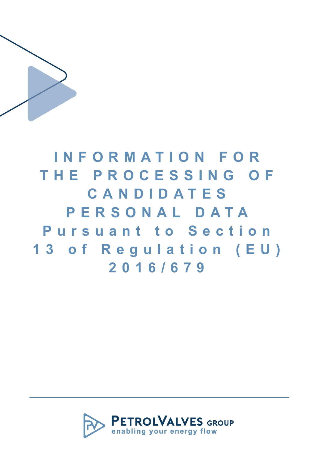

**I N F O R M A T I O N F O R T H E P R O C E S S I N G O F C A N D I D A T E S P E R S O N A L D A T A**  Pursuant to Section **1 3 o f R e g u l a t i o n ( E U ) 2 0 1 6 / 6 7 9**

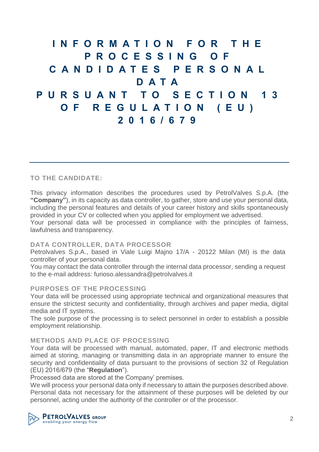**I N F O R M A T I O N F O R T H E P R O C E S S I N G O F C A N D I D A T E S P E R S O N A L D A T A P U R S U A N T T O S E C T I O N 1 3 O F R E G U L A T I O N ( E U ) 2 0 1 6 / 6 7 9**

## **TO THE CANDIDATE:**

This privacy information describes the procedures used by PetrolValves S.p.A. (the **"Company"**), in its capacity as data controller, to gather, store and use your personal data, including the personal features and details of your career history and skills spontaneously provided in your CV or collected when you applied for employment we advertised. Your personal data will be processed in compliance with the principles of fairness, lawfulness and transparency.

# **DATA CONTROLLER, DATA PROCESSOR**

Petrolvalves S.p.A., based in Viale Luigi Majno 17/A - 20122 Milan (MI) is the data controller of your personal data.

You may contact the data controller through the internal data processor, sending a request to the e-mail address: [furioso.alessandra@petrolvalves.it](mailto:furioso.alessandra@petrolvalves.it)

## **PURPOSES OF THE PROCESSING**

Your data will be processed using appropriate technical and organizational measures that ensure the strictest security and confidentiality, through archives and paper media, digital media and IT systems.

The sole purpose of the processing is to select personnel in order to establish a possible employment relationship.

## **METHODS AND PLACE OF PROCESSING**

Your data will be processed with manual, automated, paper, IT and electronic methods aimed at storing, managing or transmitting data in an appropriate manner to ensure the security and confidentiality of data pursuant to the provisions of section 32 of Regulation (EU) 2016/679 (the "**Regulation**").

Processed data are stored at the Company' premises.

We will process your personal data only if necessary to attain the purposes described above. Personal data not necessary for the attainment of these purposes will be deleted by our personnel, acting under the authority of the controller or of the processor.

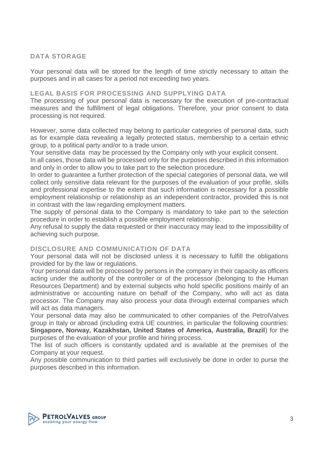## **DATA STORAGE**

Your personal data will be stored for the length of time strictly necessary to attain the purposes and in all cases for a period not exceeding two years.

#### **LEGAL BASIS FOR PROCESSING AND SUPPLYING DATA**

The processing of your personal data is necessary for the execution of pre-contractual measures and the fulfillment of legal obligations. Therefore, your prior consent to data processing is not required.

However, some data collected may belong to particular categories of personal data, such as for example data revealing a legally protected status, membership to a certain ethnic group, to a political party and/or to a trade union.

Your sensitive data may be processed by the Company only with your explicit consent.

In all cases, those data will be processed only for the purposes described in this information and only in order to allow you to take part to the selection procedure.

In order to guarantee a further protection of the special categories of personal data, we will collect only sensitive data relevant for the purposes of the evaluation of your profile, skills and professional expertise to the extent that such information is necessary for a possible employment relationship or relationship as an independent contractor, provided this is not in contrast with the law regarding employment matters.

The supply of personal data to the Company is mandatory to take part to the selection procedure in order to establish a possible employment relationship.

Any refusal to supply the data requested or their inaccuracy may lead to the impossibility of achieving such purpose.

## **DISCLOSURE AND COMMUNICATION OF DATA**

Your personal data will not be disclosed unless it is necessary to fulfill the obligations provided for by the law or regulations.

Your personal data will be processed by persons in the company in their capacity as officers acting under the authority of the controller or of the processor (belonging to the Human Resources Department) and by external subjects who hold specific positions mainly of an administrative or accounting nature on behalf of the Company, who will act as data processor. The Company may also process your data through external companies which will act as data managers.

Your personal data may also be communicated to other companies of the PetrolValves group in Italy or abroad (including extra UE countries, in particular the following countries: **Singapore, Norway, Kazakhstan, United States of America, Australia, Brazil**) for the purposes of the evaluation of your profile and hiring process.

The list of such officers is constantly updated and is available at the premises of the Company at your request.

Any possible communication to third parties will exclusively be done in order to purse the purposes described in this information.